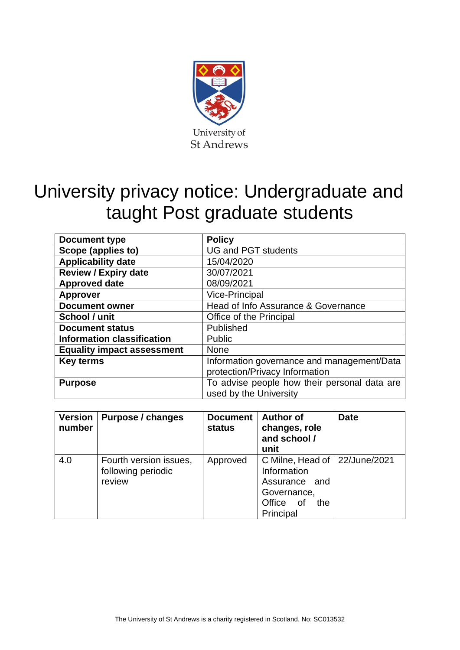

# University privacy notice: Undergraduate and taught Post graduate students

| Document type                     | <b>Policy</b>                                |
|-----------------------------------|----------------------------------------------|
| Scope (applies to)                | <b>UG and PGT students</b>                   |
| <b>Applicability date</b>         | 15/04/2020                                   |
| <b>Review / Expiry date</b>       | 30/07/2021                                   |
| <b>Approved date</b>              | 08/09/2021                                   |
| <b>Approver</b>                   | <b>Vice-Principal</b>                        |
| <b>Document owner</b>             | Head of Info Assurance & Governance          |
| School / unit                     | Office of the Principal                      |
| <b>Document status</b>            | Published                                    |
| <b>Information classification</b> | Public                                       |
| <b>Equality impact assessment</b> | <b>None</b>                                  |
| <b>Key terms</b>                  | Information governance and management/Data   |
|                                   | protection/Privacy Information               |
| <b>Purpose</b>                    | To advise people how their personal data are |
|                                   | used by the University                       |

| <b>Version</b><br>number | Purpose / changes                                      | <b>Document</b><br>status | <b>Author of</b><br>changes, role<br>and school /<br>unit                                                               | <b>Date</b> |
|--------------------------|--------------------------------------------------------|---------------------------|-------------------------------------------------------------------------------------------------------------------------|-------------|
| 4.0                      | Fourth version issues,<br>following periodic<br>review | Approved                  | C Milne, Head of   22/June/2021<br>Information<br>Assurance<br>and<br>Governance,<br>Office<br>the<br>. of<br>Principal |             |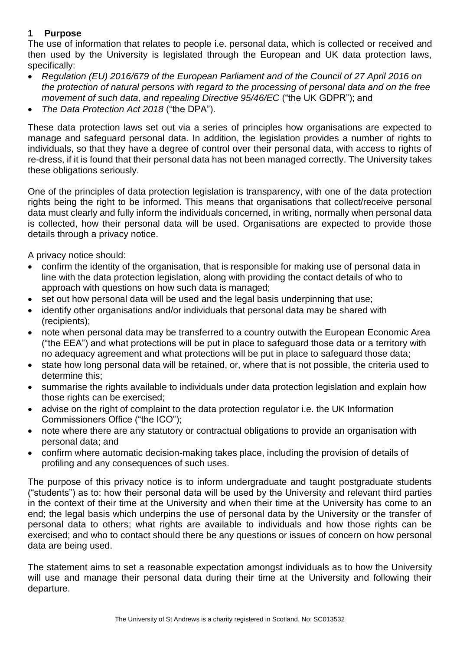#### **1 Purpose**

The use of information that relates to people i.e. personal data, which is collected or received and then used by the University is legislated through the European and UK data protection laws, specifically:

- *Regulation (EU) 2016/679 of the European Parliament and of the Council of 27 April 2016 on the protection of natural persons with regard to the processing of personal data and on the free movement of such data, and repealing Directive 95/46/EC* ("the UK GDPR"); and
- *The Data Protection Act 2018* ("the DPA").

These data protection laws set out via a series of principles how organisations are expected to manage and safeguard personal data. In addition, the legislation provides a number of rights to individuals, so that they have a degree of control over their personal data, with access to rights of re-dress, if it is found that their personal data has not been managed correctly. The University takes these obligations seriously.

One of the principles of data protection legislation is transparency, with one of the data protection rights being the right to be informed. This means that organisations that collect/receive personal data must clearly and fully inform the individuals concerned, in writing, normally when personal data is collected, how their personal data will be used. Organisations are expected to provide those details through a privacy notice.

A privacy notice should:

- confirm the identity of the organisation, that is responsible for making use of personal data in line with the data protection legislation, along with providing the contact details of who to approach with questions on how such data is managed;
- set out how personal data will be used and the legal basis underpinning that use;
- identify other organisations and/or individuals that personal data may be shared with (recipients);
- note when personal data may be transferred to a country outwith the European Economic Area ("the EEA") and what protections will be put in place to safeguard those data or a territory with no adequacy agreement and what protections will be put in place to safeguard those data;
- state how long personal data will be retained, or, where that is not possible, the criteria used to determine this;
- summarise the rights available to individuals under data protection legislation and explain how those rights can be exercised;
- advise on the right of complaint to the data protection regulator i.e. the UK Information Commissioners Office ("the ICO");
- note where there are any statutory or contractual obligations to provide an organisation with personal data; and
- confirm where automatic decision-making takes place, including the provision of details of profiling and any consequences of such uses.

The purpose of this privacy notice is to inform undergraduate and taught postgraduate students ("students") as to: how their personal data will be used by the University and relevant third parties in the context of their time at the University and when their time at the University has come to an end; the legal basis which underpins the use of personal data by the University or the transfer of personal data to others; what rights are available to individuals and how those rights can be exercised; and who to contact should there be any questions or issues of concern on how personal data are being used.

The statement aims to set a reasonable expectation amongst individuals as to how the University will use and manage their personal data during their time at the University and following their departure.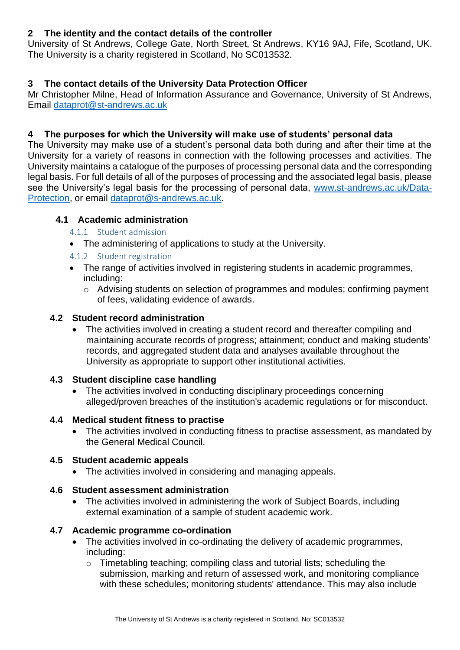## **2 The identity and the contact details of the controller**

University of St Andrews, College Gate, North Street, St Andrews, KY16 9AJ, Fife, Scotland, UK. The University is a charity registered in Scotland, No SC013532.

# **3 The contact details of the University Data Protection Officer**

Mr Christopher Milne, Head of Information Assurance and Governance, University of St Andrews, Email [dataprot@st-andrews.ac.uk](mailto:dataprot@st-andrews.ac.uk)

## **4 The purposes for which the University will make use of students' personal data**

The University may make use of a student's personal data both during and after their time at the University for a variety of reasons in connection with the following processes and activities. The University maintains a catalogue of the purposes of processing personal data and the corresponding legal basis. For full details of all of the purposes of processing and the associated legal basis, please see the University's legal basis for the processing of personal data, [www.st-andrews.ac.uk/Data-](http://www.st-andrews.ac.uk/Data-Protection)[Protection,](http://www.st-andrews.ac.uk/Data-Protection) or email [dataprot@s-andrews.ac.uk.](mailto:dataprot@s-andrews.ac.uk)

#### **4.1 Academic administration**

- 4.1.1 Student admission
- The administering of applications to study at the University.
- 4.1.2 Student registration
- The range of activities involved in registering students in academic programmes, including:
	- o Advising students on selection of programmes and modules; confirming payment of fees, validating evidence of awards.

#### **4.2 Student record administration**

The activities involved in creating a student record and thereafter compiling and maintaining accurate records of progress; attainment; conduct and making students' records, and aggregated student data and analyses available throughout the University as appropriate to support other institutional activities.

#### **4.3 Student discipline case handling**

• The activities involved in conducting disciplinary proceedings concerning alleged/proven breaches of the institution's academic regulations or for misconduct.

#### **4.4 Medical student fitness to practise**

• The activities involved in conducting fitness to practise assessment, as mandated by the General Medical Council.

## **4.5 Student academic appeals**

• The activities involved in considering and managing appeals.

#### **4.6 Student assessment administration**

• The activities involved in administering the work of Subject Boards, including external examination of a sample of student academic work.

#### **4.7 Academic programme co-ordination**

- The activities involved in co-ordinating the delivery of academic programmes, including:
	- o Timetabling teaching; compiling class and tutorial lists; scheduling the submission, marking and return of assessed work, and monitoring compliance with these schedules; monitoring students' attendance. This may also include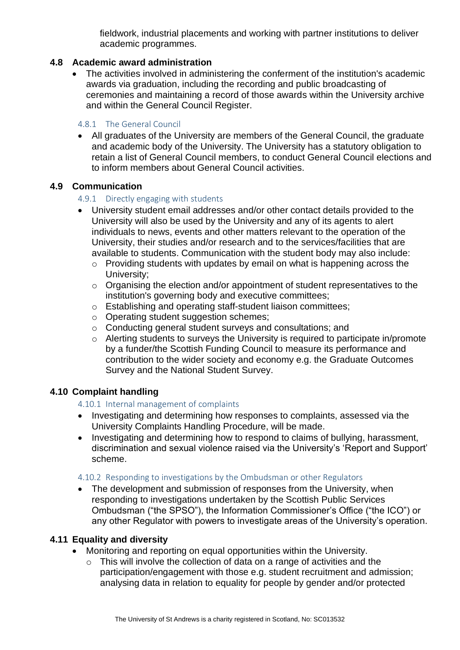fieldwork, industrial placements and working with partner institutions to deliver academic programmes.

## **4.8 Academic award administration**

• The activities involved in administering the conferment of the institution's academic awards via graduation, including the recording and public broadcasting of ceremonies and maintaining a record of those awards within the University archive and within the General Council Register.

#### 4.8.1 The General Council

• All graduates of the University are members of the General Council, the graduate and academic body of the University. The University has a statutory obligation to retain a list of General Council members, to conduct General Council elections and to inform members about General Council activities.

#### **4.9 Communication**

#### 4.9.1 Directly engaging with students

- University student email addresses and/or other contact details provided to the University will also be used by the University and any of its agents to alert individuals to news, events and other matters relevant to the operation of the University, their studies and/or research and to the services/facilities that are available to students. Communication with the student body may also include:
	- o Providing students with updates by email on what is happening across the University;
	- o Organising the election and/or appointment of student representatives to the institution's governing body and executive committees;
	- o Establishing and operating staff-student liaison committees;
	- o Operating student suggestion schemes;
	- o Conducting general student surveys and consultations; and
	- o Alerting students to surveys the University is required to participate in/promote by a funder/the Scottish Funding Council to measure its performance and contribution to the wider society and economy e.g. the Graduate Outcomes Survey and the National Student Survey.

#### **4.10 Complaint handling**

4.10.1 Internal management of complaints

- Investigating and determining how responses to complaints, assessed via the University Complaints Handling Procedure, will be made.
- Investigating and determining how to respond to claims of bullying, harassment, discrimination and sexual violence raised via the University's 'Report and Support' scheme.

#### 4.10.2 Responding to investigations by the Ombudsman or other Regulators

• The development and submission of responses from the University, when responding to investigations undertaken by the Scottish Public Services Ombudsman ("the SPSO"), the Information Commissioner's Office ("the ICO") or any other Regulator with powers to investigate areas of the University's operation.

## **4.11 Equality and diversity**

- Monitoring and reporting on equal opportunities within the University.
	- o This will involve the collection of data on a range of activities and the participation/engagement with those e.g. student recruitment and admission; analysing data in relation to equality for people by gender and/or protected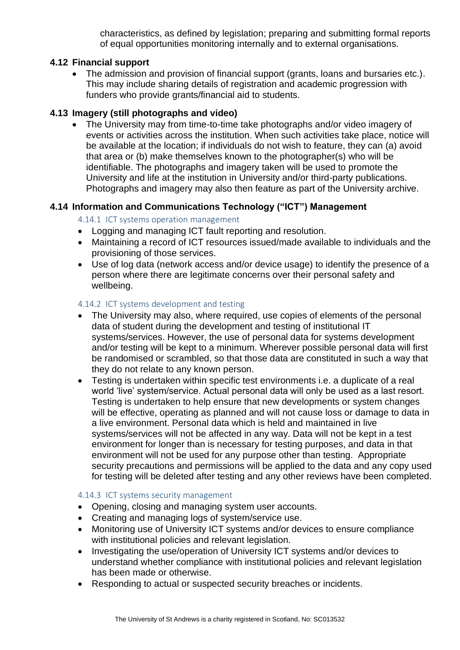characteristics, as defined by legislation; preparing and submitting formal reports of equal opportunities monitoring internally and to external organisations.

#### **4.12 Financial support**

• The admission and provision of financial support (grants, loans and bursaries etc.). This may include sharing details of registration and academic progression with funders who provide grants/financial aid to students.

## **4.13 Imagery (still photographs and video)**

• The University may from time-to-time take photographs and/or video imagery of events or activities across the institution. When such activities take place, notice will be available at the location; if individuals do not wish to feature, they can (a) avoid that area or (b) make themselves known to the photographer(s) who will be identifiable. The photographs and imagery taken will be used to promote the University and life at the institution in University and/or third-party publications. Photographs and imagery may also then feature as part of the University archive.

#### **4.14 Information and Communications Technology ("ICT") Management**

#### 4.14.1 ICT systems operation management

- Logging and managing ICT fault reporting and resolution.
- Maintaining a record of ICT resources issued/made available to individuals and the provisioning of those services.
- Use of log data (network access and/or device usage) to identify the presence of a person where there are legitimate concerns over their personal safety and wellbeing.

#### 4.14.2 ICT systems development and testing

- The University may also, where required, use copies of elements of the personal data of student during the development and testing of institutional IT systems/services. However, the use of personal data for systems development and/or testing will be kept to a minimum. Wherever possible personal data will first be randomised or scrambled, so that those data are constituted in such a way that they do not relate to any known person.
- Testing is undertaken within specific test environments i.e. a duplicate of a real world 'live' system/service. Actual personal data will only be used as a last resort. Testing is undertaken to help ensure that new developments or system changes will be effective, operating as planned and will not cause loss or damage to data in a live environment. Personal data which is held and maintained in live systems/services will not be affected in any way. Data will not be kept in a test environment for longer than is necessary for testing purposes, and data in that environment will not be used for any purpose other than testing. Appropriate security precautions and permissions will be applied to the data and any copy used for testing will be deleted after testing and any other reviews have been completed.

#### 4.14.3 ICT systems security management

- Opening, closing and managing system user accounts.
- Creating and managing logs of system/service use.
- Monitoring use of University ICT systems and/or devices to ensure compliance with institutional policies and relevant legislation.
- Investigating the use/operation of University ICT systems and/or devices to understand whether compliance with institutional policies and relevant legislation has been made or otherwise.
- Responding to actual or suspected security breaches or incidents.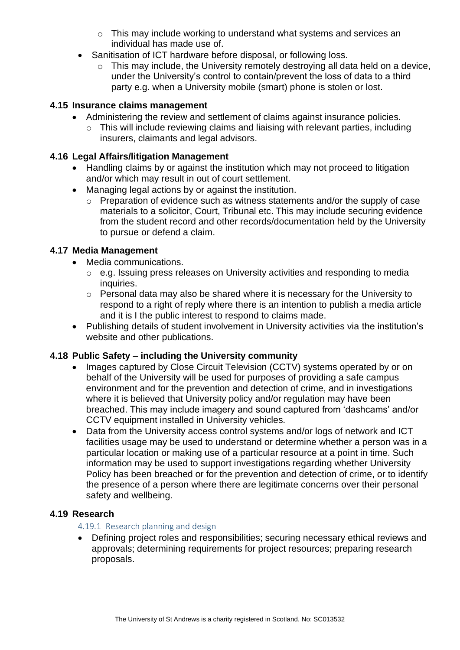- o This may include working to understand what systems and services an individual has made use of.
- Sanitisation of ICT hardware before disposal, or following loss.
	- $\circ$  This may include, the University remotely destroving all data held on a device, under the University's control to contain/prevent the loss of data to a third party e.g. when a University mobile (smart) phone is stolen or lost.

## **4.15 Insurance claims management**

- Administering the review and settlement of claims against insurance policies.
	- o This will include reviewing claims and liaising with relevant parties, including insurers, claimants and legal advisors.

# **4.16 Legal Affairs/litigation Management**

- Handling claims by or against the institution which may not proceed to litigation and/or which may result in out of court settlement.
- Managing legal actions by or against the institution.
	- o Preparation of evidence such as witness statements and/or the supply of case materials to a solicitor, Court, Tribunal etc. This may include securing evidence from the student record and other records/documentation held by the University to pursue or defend a claim.

# **4.17 Media Management**

- Media communications.
	- o e.g. Issuing press releases on University activities and responding to media inquiries.
	- o Personal data may also be shared where it is necessary for the University to respond to a right of reply where there is an intention to publish a media article and it is I the public interest to respond to claims made.
- Publishing details of student involvement in University activities via the institution's website and other publications.

# **4.18 Public Safety – including the University community**

- Images captured by Close Circuit Television (CCTV) systems operated by or on behalf of the University will be used for purposes of providing a safe campus environment and for the prevention and detection of crime, and in investigations where it is believed that University policy and/or regulation may have been breached. This may include imagery and sound captured from 'dashcams' and/or CCTV equipment installed in University vehicles.
- Data from the University access control systems and/or logs of network and ICT facilities usage may be used to understand or determine whether a person was in a particular location or making use of a particular resource at a point in time. Such information may be used to support investigations regarding whether University Policy has been breached or for the prevention and detection of crime, or to identify the presence of a person where there are legitimate concerns over their personal safety and wellbeing.

## **4.19 Research**

## 4.19.1 Research planning and design

• Defining project roles and responsibilities; securing necessary ethical reviews and approvals; determining requirements for project resources; preparing research proposals.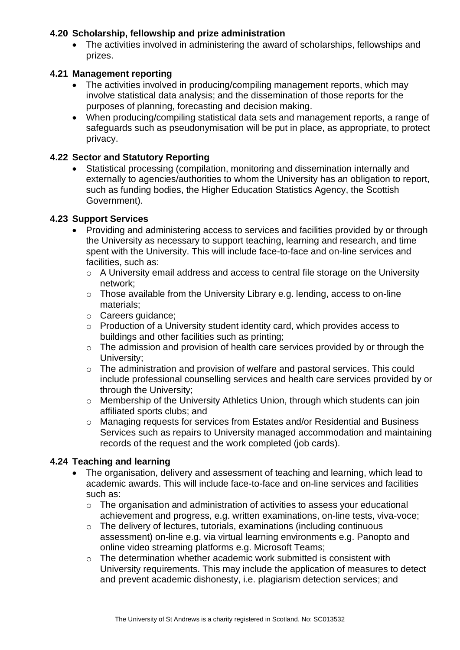## **4.20 Scholarship, fellowship and prize administration**

• The activities involved in administering the award of scholarships, fellowships and prizes.

#### **4.21 Management reporting**

- The activities involved in producing/compiling management reports, which may involve statistical data analysis; and the dissemination of those reports for the purposes of planning, forecasting and decision making.
- When producing/compiling statistical data sets and management reports, a range of safeguards such as pseudonymisation will be put in place, as appropriate, to protect privacy.

## **4.22 Sector and Statutory Reporting**

• Statistical processing (compilation, monitoring and dissemination internally and externally to agencies/authorities to whom the University has an obligation to report, such as funding bodies, the Higher Education Statistics Agency, the Scottish Government).

#### **4.23 Support Services**

- Providing and administering access to services and facilities provided by or through the University as necessary to support teaching, learning and research, and time spent with the University. This will include face-to-face and on-line services and facilities, such as:
	- o A University email address and access to central file storage on the University network;
	- o Those available from the University Library e.g. lending, access to on-line materials;
	- o Careers guidance;
	- o Production of a University student identity card, which provides access to buildings and other facilities such as printing;
	- o The admission and provision of health care services provided by or through the University;
	- o The administration and provision of welfare and pastoral services. This could include professional counselling services and health care services provided by or through the University;
	- o Membership of the University Athletics Union, through which students can join affiliated sports clubs; and
	- o Managing requests for services from Estates and/or Residential and Business Services such as repairs to University managed accommodation and maintaining records of the request and the work completed (job cards).

#### **4.24 Teaching and learning**

- The organisation, delivery and assessment of teaching and learning, which lead to academic awards. This will include face-to-face and on-line services and facilities such as:
	- o The organisation and administration of activities to assess your educational achievement and progress, e.g. written examinations, on-line tests, viva-voce;
	- o The delivery of lectures, tutorials, examinations (including continuous assessment) on-line e.g. via virtual learning environments e.g. Panopto and online video streaming platforms e.g. Microsoft Teams;
	- o The determination whether academic work submitted is consistent with University requirements. This may include the application of measures to detect and prevent academic dishonesty, i.e. plagiarism detection services; and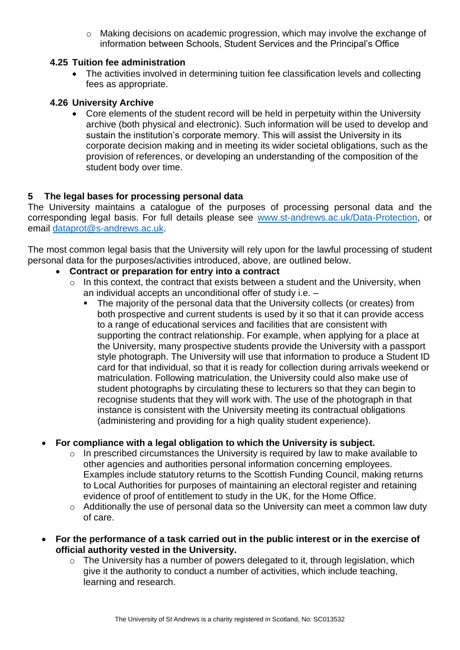o Making decisions on academic progression, which may involve the exchange of information between Schools, Student Services and the Principal's Office

#### **4.25 Tuition fee administration**

• The activities involved in determining tuition fee classification levels and collecting fees as appropriate.

#### **4.26 University Archive**

• Core elements of the student record will be held in perpetuity within the University archive (both physical and electronic). Such information will be used to develop and sustain the institution's corporate memory. This will assist the University in its corporate decision making and in meeting its wider societal obligations, such as the provision of references, or developing an understanding of the composition of the student body over time.

## **5 The legal bases for processing personal data**

The University maintains a catalogue of the purposes of processing personal data and the corresponding legal basis. For full details please see [www.st-andrews.ac.uk/Data-Protection,](http://www.st-andrews.ac.uk/Data-Protection) or email [dataprot@s-andrews.ac.uk.](mailto:dataprot@s-andrews.ac.uk)

The most common legal basis that the University will rely upon for the lawful processing of student personal data for the purposes/activities introduced, above, are outlined below.

#### • **Contract or preparation for entry into a contract**

- $\circ$  In this context, the contract that exists between a student and the University, when an individual accepts an unconditional offer of study i.e. –
	- The majority of the personal data that the University collects (or creates) from both prospective and current students is used by it so that it can provide access to a range of educational services and facilities that are consistent with supporting the contract relationship. For example, when applying for a place at the University, many prospective students provide the University with a passport style photograph. The University will use that information to produce a Student ID card for that individual, so that it is ready for collection during arrivals weekend or matriculation. Following matriculation, the University could also make use of student photographs by circulating these to lecturers so that they can begin to recognise students that they will work with. The use of the photograph in that instance is consistent with the University meeting its contractual obligations (administering and providing for a high quality student experience).

## • **For compliance with a legal obligation to which the University is subject.**

- o In prescribed circumstances the University is required by law to make available to other agencies and authorities personal information concerning employees. Examples include statutory returns to the Scottish Funding Council, making returns to Local Authorities for purposes of maintaining an electoral register and retaining evidence of proof of entitlement to study in the UK, for the Home Office.
- o Additionally the use of personal data so the University can meet a common law duty of care.
- **For the performance of a task carried out in the public interest or in the exercise of official authority vested in the University.**
	- $\circ$  The University has a number of powers delegated to it, through legislation, which give it the authority to conduct a number of activities, which include teaching, learning and research.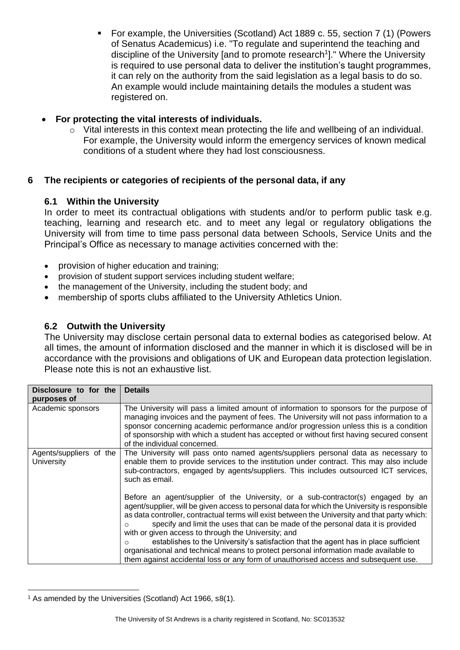▪ For example, the Universities (Scotland) Act 1889 c. 55, section 7 (1) (Powers of Senatus Academicus) i.e. "To regulate and superintend the teaching and discipline of the University [and to promote research<sup>1</sup>]." Where the University is required to use personal data to deliver the institution's taught programmes, it can rely on the authority from the said legislation as a legal basis to do so. An example would include maintaining details the modules a student was registered on.

## • **For protecting the vital interests of individuals.**

o Vital interests in this context mean protecting the life and wellbeing of an individual. For example, the University would inform the emergency services of known medical conditions of a student where they had lost consciousness.

# **6 The recipients or categories of recipients of the personal data, if any**

# **6.1 Within the University**

In order to meet its contractual obligations with students and/or to perform public task e.g. teaching, learning and research etc. and to meet any legal or regulatory obligations the University will from time to time pass personal data between Schools, Service Units and the Principal's Office as necessary to manage activities concerned with the:

- provision of higher education and training;
- provision of student support services including student welfare;
- the management of the University, including the student body; and
- membership of sports clubs affiliated to the University Athletics Union.

## **6.2 Outwith the University**

The University may disclose certain personal data to external bodies as categorised below. At all times, the amount of information disclosed and the manner in which it is disclosed will be in accordance with the provisions and obligations of UK and European data protection legislation. Please note this is not an exhaustive list.

| Disclosure to for the<br>purposes of  | <b>Details</b>                                                                                                                                                                                                                                                                                                                                                                                                                                                                                                                                                                                                                                                                                     |
|---------------------------------------|----------------------------------------------------------------------------------------------------------------------------------------------------------------------------------------------------------------------------------------------------------------------------------------------------------------------------------------------------------------------------------------------------------------------------------------------------------------------------------------------------------------------------------------------------------------------------------------------------------------------------------------------------------------------------------------------------|
| Academic sponsors                     | The University will pass a limited amount of information to sponsors for the purpose of<br>managing invoices and the payment of fees. The University will not pass information to a<br>sponsor concerning academic performance and/or progression unless this is a condition<br>of sponsorship with which a student has accepted or without first having secured consent<br>of the individual concerned.                                                                                                                                                                                                                                                                                           |
| Agents/suppliers of the<br>University | The University will pass onto named agents/suppliers personal data as necessary to<br>enable them to provide services to the institution under contract. This may also include<br>sub-contractors, engaged by agents/suppliers. This includes outsourced ICT services,<br>such as email.                                                                                                                                                                                                                                                                                                                                                                                                           |
|                                       | Before an agent/supplier of the University, or a sub-contractor(s) engaged by an<br>agent/supplier, will be given access to personal data for which the University is responsible<br>as data controller, contractual terms will exist between the University and that party which:<br>specify and limit the uses that can be made of the personal data it is provided<br>with or given access to through the University; and<br>establishes to the University's satisfaction that the agent has in place sufficient<br>organisational and technical means to protect personal information made available to<br>them against accidental loss or any form of unauthorised access and subsequent use. |

<sup>&</sup>lt;sup>1</sup> As amended by the Universities (Scotland) Act 1966, s8(1).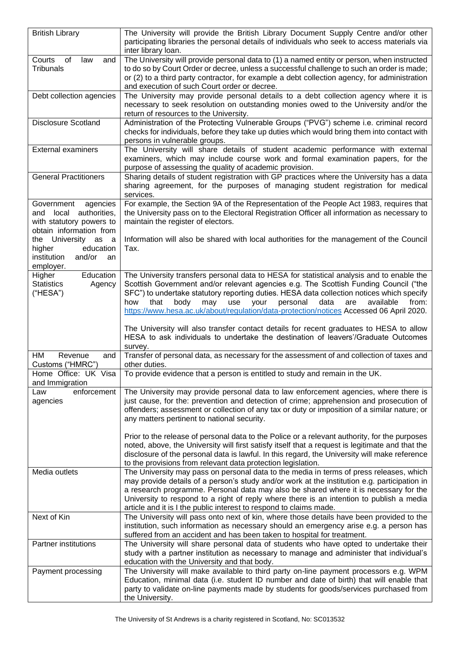| <b>British Library</b>                                                                                     | The University will provide the British Library Document Supply Centre and/or other<br>participating libraries the personal details of individuals who seek to access materials via                                                                                                                                                                                                                                                                                                                                                                                |  |
|------------------------------------------------------------------------------------------------------------|--------------------------------------------------------------------------------------------------------------------------------------------------------------------------------------------------------------------------------------------------------------------------------------------------------------------------------------------------------------------------------------------------------------------------------------------------------------------------------------------------------------------------------------------------------------------|--|
| Courts<br>of<br>law<br>and<br><b>Tribunals</b>                                                             | inter library loan.<br>The University will provide personal data to (1) a named entity or person, when instructed<br>to do so by Court Order or decree, unless a successful challenge to such an order is made;<br>or (2) to a third party contractor, for example a debt collection agency, for administration<br>and execution of such Court order or decree.                                                                                                                                                                                                    |  |
| Debt collection agencies                                                                                   | The University may provide personal details to a debt collection agency where it is<br>necessary to seek resolution on outstanding monies owed to the University and/or the<br>return of resources to the University.                                                                                                                                                                                                                                                                                                                                              |  |
| Disclosure Scotland                                                                                        | Administration of the Protecting Vulnerable Groups ("PVG") scheme i.e. criminal record<br>checks for individuals, before they take up duties which would bring them into contact with<br>persons in vulnerable groups.                                                                                                                                                                                                                                                                                                                                             |  |
| <b>External examiners</b>                                                                                  | The University will share details of student academic performance with external<br>examiners, which may include course work and formal examination papers, for the<br>purpose of assessing the quality of academic provision.                                                                                                                                                                                                                                                                                                                                      |  |
| <b>General Practitioners</b>                                                                               | Sharing details of student registration with GP practices where the University has a data<br>sharing agreement, for the purposes of managing student registration for medical<br>services.                                                                                                                                                                                                                                                                                                                                                                         |  |
| Government<br>agencies<br>local authorities,<br>and<br>with statutory powers to<br>obtain information from | For example, the Section 9A of the Representation of the People Act 1983, requires that<br>the University pass on to the Electoral Registration Officer all information as necessary to<br>maintain the register of electors.                                                                                                                                                                                                                                                                                                                                      |  |
| the University as a<br>education<br>higher<br>institution<br>and/or<br>an<br>employer.                     | Information will also be shared with local authorities for the management of the Council<br>Tax.                                                                                                                                                                                                                                                                                                                                                                                                                                                                   |  |
| Education<br>Higher<br><b>Statistics</b><br>Agency<br>("HESA")                                             | The University transfers personal data to HESA for statistical analysis and to enable the<br>Scottish Government and/or relevant agencies e.g. The Scottish Funding Council ("the<br>SFC") to undertake statutory reporting duties. HESA data collection notices which specify<br>body<br>may<br>personal<br>data<br>are<br>how<br>that<br>use<br>your<br>available<br>from:<br>https://www.hesa.ac.uk/about/regulation/data-protection/notices Accessed 06 April 2020.<br>The University will also transfer contact details for recent graduates to HESA to allow |  |
|                                                                                                            | HESA to ask individuals to undertake the destination of leavers'/Graduate Outcomes<br>survey.                                                                                                                                                                                                                                                                                                                                                                                                                                                                      |  |
| HМ<br>Revenue<br>and<br>Customs ("HMRC")                                                                   | Transfer of personal data, as necessary for the assessment of and collection of taxes and<br>other duties.                                                                                                                                                                                                                                                                                                                                                                                                                                                         |  |
| Home Office: UK Visa<br>and Immigration                                                                    | To provide evidence that a person is entitled to study and remain in the UK.                                                                                                                                                                                                                                                                                                                                                                                                                                                                                       |  |
| enforcement<br>Law<br>agencies                                                                             | The University may provide personal data to law enforcement agencies, where there is<br>just cause, for the: prevention and detection of crime; apprehension and prosecution of<br>offenders; assessment or collection of any tax or duty or imposition of a similar nature; or<br>any matters pertinent to national security.<br>Prior to the release of personal data to the Police or a relevant authority, for the purposes                                                                                                                                    |  |
|                                                                                                            | noted, above, the University will first satisfy itself that a request is legitimate and that the<br>disclosure of the personal data is lawful. In this regard, the University will make reference<br>to the provisions from relevant data protection legislation.                                                                                                                                                                                                                                                                                                  |  |
| Media outlets                                                                                              | The University may pass on personal data to the media in terms of press releases, which<br>may provide details of a person's study and/or work at the institution e.g. participation in<br>a research programme. Personal data may also be shared where it is necessary for the<br>University to respond to a right of reply where there is an intention to publish a media<br>article and it is I the public interest to respond to claims made.                                                                                                                  |  |
| Next of Kin                                                                                                | The University will pass onto next of kin, where those details have been provided to the<br>institution, such information as necessary should an emergency arise e.g. a person has<br>suffered from an accident and has been taken to hospital for treatment.                                                                                                                                                                                                                                                                                                      |  |
| <b>Partner institutions</b>                                                                                | The University will share personal data of students who have opted to undertake their<br>study with a partner institution as necessary to manage and administer that individual's<br>education with the University and that body.                                                                                                                                                                                                                                                                                                                                  |  |
| Payment processing                                                                                         | The University will make available to third party on-line payment processors e.g. WPM<br>Education, minimal data (i.e. student ID number and date of birth) that will enable that<br>party to validate on-line payments made by students for goods/services purchased from<br>the University.                                                                                                                                                                                                                                                                      |  |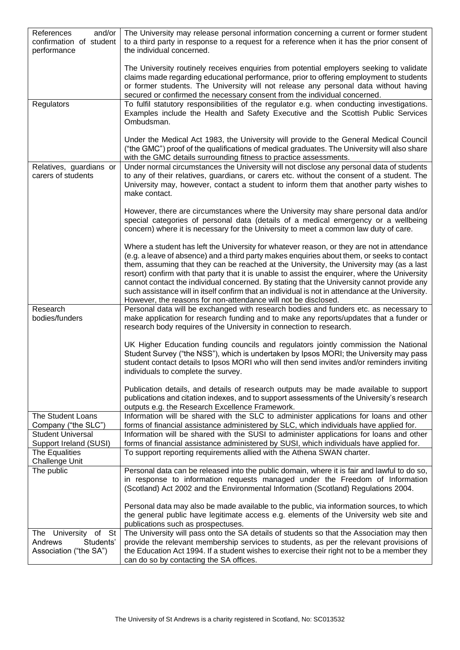| References<br>and/or<br>confirmation of student<br>performance               | The University may release personal information concerning a current or former student<br>to a third party in response to a request for a reference when it has the prior consent of<br>the individual concerned.                                                                                                                                                                                                                                                                                                                                                                                                                                            |
|------------------------------------------------------------------------------|--------------------------------------------------------------------------------------------------------------------------------------------------------------------------------------------------------------------------------------------------------------------------------------------------------------------------------------------------------------------------------------------------------------------------------------------------------------------------------------------------------------------------------------------------------------------------------------------------------------------------------------------------------------|
|                                                                              | The University routinely receives enquiries from potential employers seeking to validate<br>claims made regarding educational performance, prior to offering employment to students<br>or former students. The University will not release any personal data without having<br>secured or confirmed the necessary consent from the individual concerned.                                                                                                                                                                                                                                                                                                     |
| Regulators                                                                   | To fulfil statutory responsibilities of the regulator e.g. when conducting investigations.<br>Examples include the Health and Safety Executive and the Scottish Public Services<br>Ombudsman.                                                                                                                                                                                                                                                                                                                                                                                                                                                                |
|                                                                              | Under the Medical Act 1983, the University will provide to the General Medical Council<br>("the GMC") proof of the qualifications of medical graduates. The University will also share<br>with the GMC details surrounding fitness to practice assessments.                                                                                                                                                                                                                                                                                                                                                                                                  |
| Relatives, guardians or<br>carers of students                                | Under normal circumstances the University will not disclose any personal data of students<br>to any of their relatives, guardians, or carers etc. without the consent of a student. The<br>University may, however, contact a student to inform them that another party wishes to<br>make contact.                                                                                                                                                                                                                                                                                                                                                           |
|                                                                              | However, there are circumstances where the University may share personal data and/or<br>special categories of personal data (details of a medical emergency or a wellbeing<br>concern) where it is necessary for the University to meet a common law duty of care.                                                                                                                                                                                                                                                                                                                                                                                           |
|                                                                              | Where a student has left the University for whatever reason, or they are not in attendance<br>(e.g. a leave of absence) and a third party makes enquiries about them, or seeks to contact<br>them, assuming that they can be reached at the University, the University may (as a last<br>resort) confirm with that party that it is unable to assist the enquirer, where the University<br>cannot contact the individual concerned. By stating that the University cannot provide any<br>such assistance will in itself confirm that an individual is not in attendance at the University.<br>However, the reasons for non-attendance will not be disclosed. |
| Research<br>bodies/funders                                                   | Personal data will be exchanged with research bodies and funders etc. as necessary to<br>make application for research funding and to make any reports/updates that a funder or<br>research body requires of the University in connection to research.                                                                                                                                                                                                                                                                                                                                                                                                       |
|                                                                              | UK Higher Education funding councils and regulators jointly commission the National<br>Student Survey ("the NSS"), which is undertaken by Ipsos MORI; the University may pass<br>student contact details to Ipsos MORI who will then send invites and/or reminders inviting<br>individuals to complete the survey.                                                                                                                                                                                                                                                                                                                                           |
|                                                                              | Publication details, and details of research outputs may be made available to support<br>publications and citation indexes, and to support assessments of the University's research<br>outputs e.g. the Research Excellence Framework.                                                                                                                                                                                                                                                                                                                                                                                                                       |
| The Student Loans<br>Company ("the SLC")                                     | Information will be shared with the SLC to administer applications for loans and other<br>forms of financial assistance administered by SLC, which individuals have applied for.                                                                                                                                                                                                                                                                                                                                                                                                                                                                             |
| <b>Student Universal</b><br>Support Ireland (SUSI)                           | Information will be shared with the SUSI to administer applications for loans and other<br>forms of financial assistance administered by SUSI, which individuals have applied for.                                                                                                                                                                                                                                                                                                                                                                                                                                                                           |
| The Equalities<br><b>Challenge Unit</b>                                      | To support reporting requirements allied with the Athena SWAN charter.                                                                                                                                                                                                                                                                                                                                                                                                                                                                                                                                                                                       |
| The public                                                                   | Personal data can be released into the public domain, where it is fair and lawful to do so,<br>in response to information requests managed under the Freedom of Information<br>(Scotland) Act 2002 and the Environmental Information (Scotland) Regulations 2004.                                                                                                                                                                                                                                                                                                                                                                                            |
|                                                                              | Personal data may also be made available to the public, via information sources, to which<br>the general public have legitimate access e.g. elements of the University web site and<br>publications such as prospectuses.                                                                                                                                                                                                                                                                                                                                                                                                                                    |
| University of<br>St<br>The<br>Students'<br>Andrews<br>Association ("the SA") | The University will pass onto the SA details of students so that the Association may then<br>provide the relevant membership services to students, as per the relevant provisions of<br>the Education Act 1994. If a student wishes to exercise their right not to be a member they<br>can do so by contacting the SA offices.                                                                                                                                                                                                                                                                                                                               |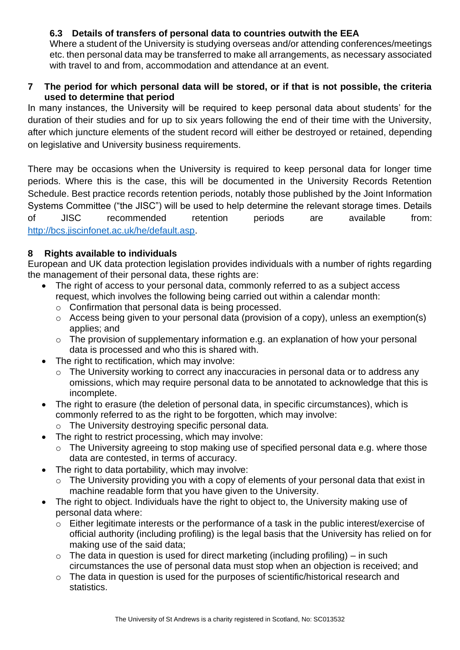## **6.3 Details of transfers of personal data to countries outwith the EEA**

Where a student of the University is studying overseas and/or attending conferences/meetings etc. then personal data may be transferred to make all arrangements, as necessary associated with travel to and from, accommodation and attendance at an event.

#### **7 The period for which personal data will be stored, or if that is not possible, the criteria used to determine that period**

In many instances, the University will be required to keep personal data about students' for the duration of their studies and for up to six years following the end of their time with the University, after which juncture elements of the student record will either be destroyed or retained, depending on legislative and University business requirements.

There may be occasions when the University is required to keep personal data for longer time periods. Where this is the case, this will be documented in the University Records Retention Schedule. Best practice records retention periods, notably those published by the Joint Information Systems Committee ("the JISC") will be used to help determine the relevant storage times. Details of JISC recommended retention periods are available from: [http://bcs.jiscinfonet.ac.uk/he/default.asp.](http://bcs.jiscinfonet.ac.uk/he/default.asp)

## **8 Rights available to individuals**

European and UK data protection legislation provides individuals with a number of rights regarding the management of their personal data, these rights are:

- The right of access to your personal data, commonly referred to as a subject access request, which involves the following being carried out within a calendar month:
	- o Confirmation that personal data is being processed.
	- $\circ$  Access being given to your personal data (provision of a copy), unless an exemption(s) applies; and
	- o The provision of supplementary information e.g. an explanation of how your personal data is processed and who this is shared with.
- The right to rectification, which may involve:
	- o The University working to correct any inaccuracies in personal data or to address any omissions, which may require personal data to be annotated to acknowledge that this is incomplete.
- The right to erasure (the deletion of personal data, in specific circumstances), which is commonly referred to as the right to be forgotten, which may involve:
	- o The University destroying specific personal data.
- The right to restrict processing, which may involve:
	- o The University agreeing to stop making use of specified personal data e.g. where those data are contested, in terms of accuracy.
- The right to data portability, which may involve:
	- o The University providing you with a copy of elements of your personal data that exist in machine readable form that you have given to the University.
- The right to object. Individuals have the right to object to, the University making use of personal data where:
	- o Either legitimate interests or the performance of a task in the public interest/exercise of official authority (including profiling) is the legal basis that the University has relied on for making use of the said data;
	- $\circ$  The data in question is used for direct marketing (including profiling) in such circumstances the use of personal data must stop when an objection is received; and
	- o The data in question is used for the purposes of scientific/historical research and statistics.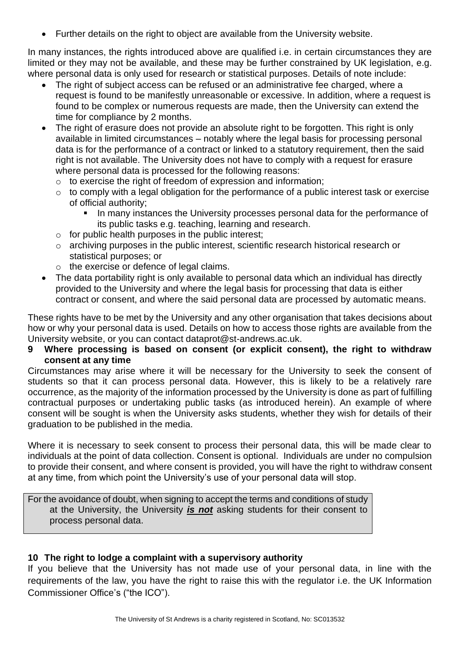• Further details on the right to object are available from the University website.

In many instances, the rights introduced above are qualified i.e. in certain circumstances they are limited or they may not be available, and these may be further constrained by UK legislation, e.g. where personal data is only used for research or statistical purposes. Details of note include:

- The right of subject access can be refused or an administrative fee charged, where a request is found to be manifestly unreasonable or excessive. In addition, where a request is found to be complex or numerous requests are made, then the University can extend the time for compliance by 2 months.
- The right of erasure does not provide an absolute right to be forgotten. This right is only available in limited circumstances – notably where the legal basis for processing personal data is for the performance of a contract or linked to a statutory requirement, then the said right is not available. The University does not have to comply with a request for erasure where personal data is processed for the following reasons:
	- $\circ$  to exercise the right of freedom of expression and information;
	- $\circ$  to comply with a legal obligation for the performance of a public interest task or exercise of official authority;
		- In many instances the University processes personal data for the performance of its public tasks e.g. teaching, learning and research.
	- $\circ$  for public health purposes in the public interest;
	- o archiving purposes in the public interest, scientific research historical research or statistical purposes; or
	- o the exercise or defence of legal claims.
- The data portability right is only available to personal data which an individual has directly provided to the University and where the legal basis for processing that data is either contract or consent, and where the said personal data are processed by automatic means.

These rights have to be met by the University and any other organisation that takes decisions about how or why your personal data is used. Details on how to access those rights are available from the University website, or you can contact dataprot@st-andrews.ac.uk.

**9 Where processing is based on consent (or explicit consent), the right to withdraw consent at any time**

Circumstances may arise where it will be necessary for the University to seek the consent of students so that it can process personal data. However, this is likely to be a relatively rare occurrence, as the majority of the information processed by the University is done as part of fulfilling contractual purposes or undertaking public tasks (as introduced herein). An example of where consent will be sought is when the University asks students, whether they wish for details of their graduation to be published in the media.

Where it is necessary to seek consent to process their personal data, this will be made clear to individuals at the point of data collection. Consent is optional. Individuals are under no compulsion to provide their consent, and where consent is provided, you will have the right to withdraw consent at any time, from which point the University's use of your personal data will stop.

For the avoidance of doubt, when signing to accept the terms and conditions of study at the University, the University *is not* asking students for their consent to process personal data.

## **10 The right to lodge a complaint with a supervisory authority**

If you believe that the University has not made use of your personal data, in line with the requirements of the law, you have the right to raise this with the regulator i.e. the UK Information Commissioner Office's ("the ICO").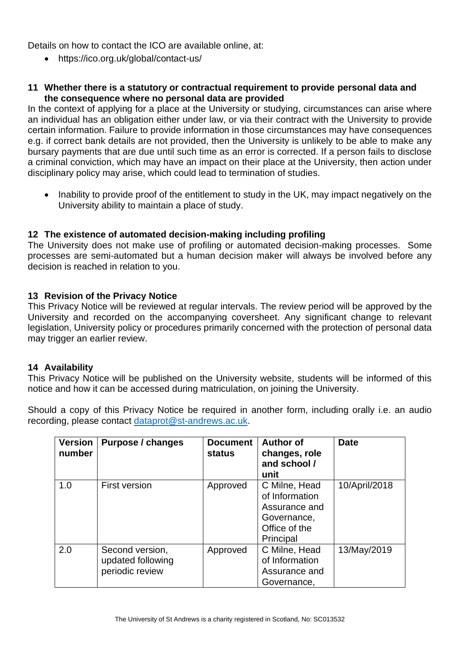Details on how to contact the ICO are available online, at:

• https://ico.org.uk/global/contact-us/

#### **11 Whether there is a statutory or contractual requirement to provide personal data and the consequence where no personal data are provided**

In the context of applying for a place at the University or studying, circumstances can arise where an individual has an obligation either under law, or via their contract with the University to provide certain information. Failure to provide information in those circumstances may have consequences e.g. if correct bank details are not provided, then the University is unlikely to be able to make any bursary payments that are due until such time as an error is corrected. If a person fails to disclose a criminal conviction, which may have an impact on their place at the University, then action under disciplinary policy may arise, which could lead to termination of studies.

• Inability to provide proof of the entitlement to study in the UK, may impact negatively on the University ability to maintain a place of study.

#### **12 The existence of automated decision-making including profiling**

The University does not make use of profiling or automated decision-making processes. Some processes are semi-automated but a human decision maker will always be involved before any decision is reached in relation to you.

#### **13 Revision of the Privacy Notice**

This Privacy Notice will be reviewed at regular intervals. The review period will be approved by the University and recorded on the accompanying coversheet. Any significant change to relevant legislation, University policy or procedures primarily concerned with the protection of personal data may trigger an earlier review.

#### **14 Availability**

This Privacy Notice will be published on the University website, students will be informed of this notice and how it can be accessed during matriculation, on joining the University.

Should a copy of this Privacy Notice be required in another form, including orally i.e. an audio recording, please contact [dataprot@st-andrews.ac.uk.](mailto:dataprot@st-andrews.ac.uk)

| <b>Version</b><br>number | Purpose / changes                                       | <b>Document</b><br>status | <b>Author of</b><br>changes, role<br>and school /<br>unit                                     | <b>Date</b>   |
|--------------------------|---------------------------------------------------------|---------------------------|-----------------------------------------------------------------------------------------------|---------------|
| 1.0                      | <b>First version</b>                                    | Approved                  | C Milne, Head<br>of Information<br>Assurance and<br>Governance,<br>Office of the<br>Principal | 10/April/2018 |
| 2.0                      | Second version,<br>updated following<br>periodic review | Approved                  | C Milne, Head<br>of Information<br>Assurance and<br>Governance,                               | 13/May/2019   |